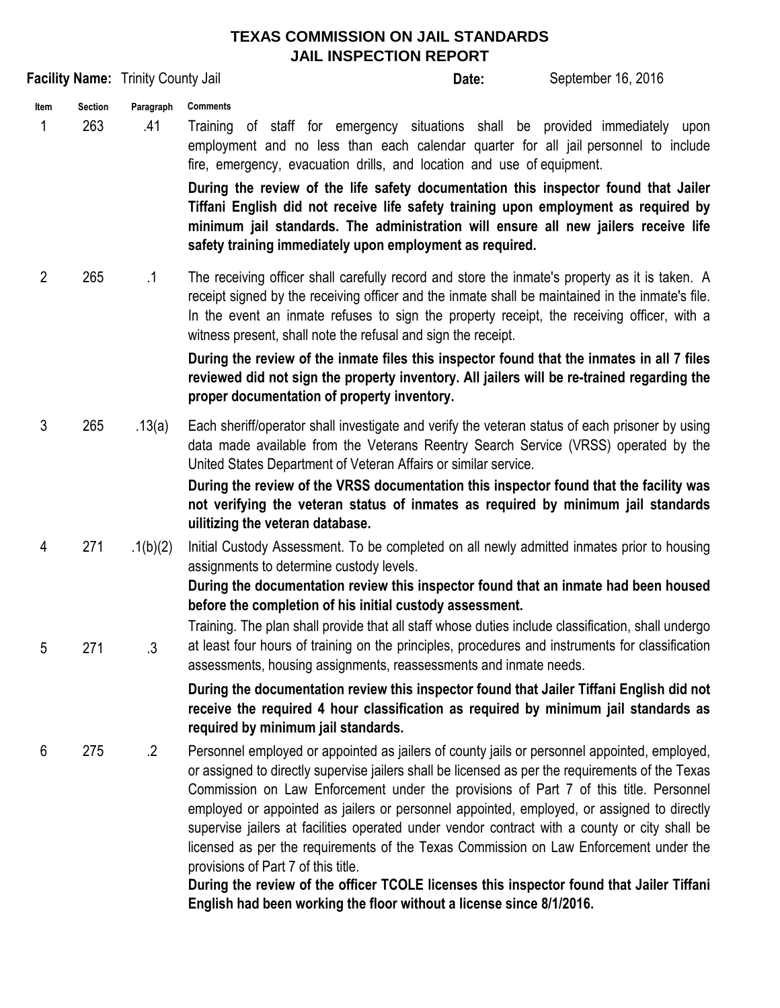## **TEXAS COMMISSION ON JAIL STANDARDS JAIL INSPECTION REPORT**

|                |                       |                                           | JAIL INSPECTION KEPOKT                                                                                                                                                                                                                                                                                                                                                                                                                                                                                                                                                                                                                                                                                                                                                                       |
|----------------|-----------------------|-------------------------------------------|----------------------------------------------------------------------------------------------------------------------------------------------------------------------------------------------------------------------------------------------------------------------------------------------------------------------------------------------------------------------------------------------------------------------------------------------------------------------------------------------------------------------------------------------------------------------------------------------------------------------------------------------------------------------------------------------------------------------------------------------------------------------------------------------|
|                |                       | <b>Facility Name: Trinity County Jail</b> | September 16, 2016<br>Date:                                                                                                                                                                                                                                                                                                                                                                                                                                                                                                                                                                                                                                                                                                                                                                  |
| Item<br>1      | <b>Section</b><br>263 | Paragraph<br>.41                          | <b>Comments</b><br>of staff for emergency situations shall be provided immediately upon<br>Training<br>employment and no less than each calendar quarter for all jail personnel to include<br>fire, emergency, evacuation drills, and location and use of equipment.<br>During the review of the life safety documentation this inspector found that Jailer<br>Tiffani English did not receive life safety training upon employment as required by<br>minimum jail standards. The administration will ensure all new jailers receive life<br>safety training immediately upon employment as required.                                                                                                                                                                                        |
| $\overline{2}$ | 265                   | $\cdot$ 1                                 | The receiving officer shall carefully record and store the inmate's property as it is taken. A<br>receipt signed by the receiving officer and the inmate shall be maintained in the inmate's file.<br>In the event an inmate refuses to sign the property receipt, the receiving officer, with a<br>witness present, shall note the refusal and sign the receipt.<br>During the review of the inmate files this inspector found that the inmates in all 7 files                                                                                                                                                                                                                                                                                                                              |
|                |                       |                                           | reviewed did not sign the property inventory. All jailers will be re-trained regarding the<br>proper documentation of property inventory.                                                                                                                                                                                                                                                                                                                                                                                                                                                                                                                                                                                                                                                    |
| 3              | 265                   | .13(a)                                    | Each sheriff/operator shall investigate and verify the veteran status of each prisoner by using<br>data made available from the Veterans Reentry Search Service (VRSS) operated by the<br>United States Department of Veteran Affairs or similar service.<br>During the review of the VRSS documentation this inspector found that the facility was<br>not verifying the veteran status of inmates as required by minimum jail standards<br>uilitizing the veteran database.                                                                                                                                                                                                                                                                                                                 |
| 4              | 271                   | .1(b)(2)                                  | Initial Custody Assessment. To be completed on all newly admitted inmates prior to housing<br>assignments to determine custody levels.<br>During the documentation review this inspector found that an inmate had been housed                                                                                                                                                                                                                                                                                                                                                                                                                                                                                                                                                                |
| 5              | 271                   | $\cdot$ 3                                 | before the completion of his initial custody assessment.<br>Training. The plan shall provide that all staff whose duties include classification, shall undergo<br>at least four hours of training on the principles, procedures and instruments for classification<br>assessments, housing assignments, reassessments and inmate needs.                                                                                                                                                                                                                                                                                                                                                                                                                                                      |
|                |                       |                                           | During the documentation review this inspector found that Jailer Tiffani English did not<br>receive the required 4 hour classification as required by minimum jail standards as<br>required by minimum jail standards.                                                                                                                                                                                                                                                                                                                                                                                                                                                                                                                                                                       |
| 6              | 275                   | $\cdot$ 2                                 | Personnel employed or appointed as jailers of county jails or personnel appointed, employed,<br>or assigned to directly supervise jailers shall be licensed as per the requirements of the Texas<br>Commission on Law Enforcement under the provisions of Part 7 of this title. Personnel<br>employed or appointed as jailers or personnel appointed, employed, or assigned to directly<br>supervise jailers at facilities operated under vendor contract with a county or city shall be<br>licensed as per the requirements of the Texas Commission on Law Enforcement under the<br>provisions of Part 7 of this title.<br>During the review of the officer TCOLE licenses this inspector found that Jailer Tiffani<br>English had been working the floor without a license since 8/1/2016. |